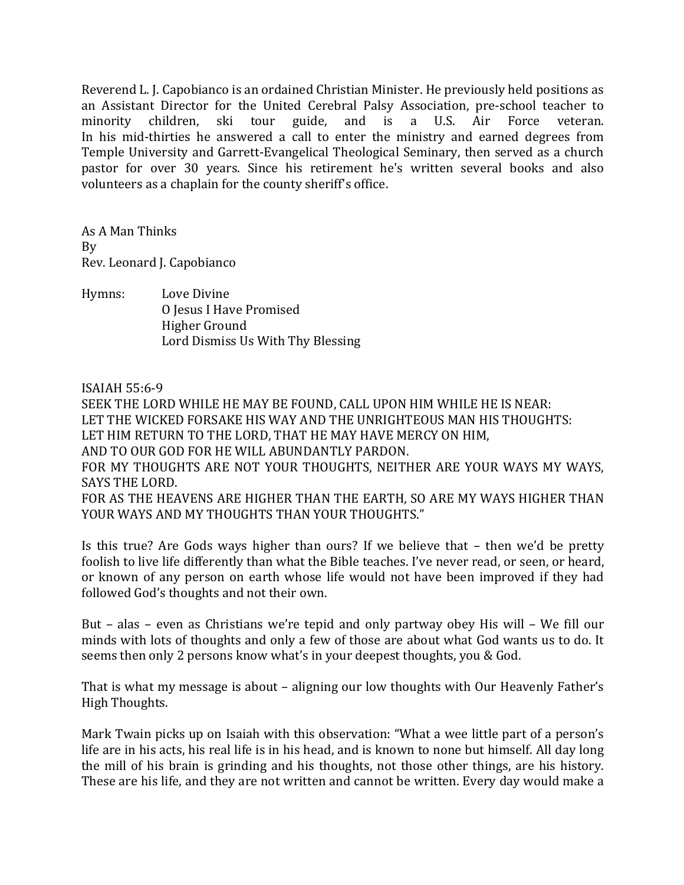Reverend L. J. Capobianco is an ordained Christian Minister. He previously held positions as an Assistant Director for the United Cerebral Palsy Association, pre-school teacher to minority children, ski tour guide, and is a U.S. Air Force veteran. In his mid-thirties he answered a call to enter the ministry and earned degrees from Temple University and Garrett-Evangelical Theological Seminary, then served as a church pastor for over 30 years. Since his retirement he's written several books and also volunteers as a chaplain for the county sheriff's office.

As A Man Thinks By Rev. Leonard J. Capobianco

Hymns: Love Divine O Iesus I Have Promised Higher Ground Lord Dismiss Us With Thy Blessing

ISAIAH 55:6-9

SEEK THE LORD WHILE HE MAY BE FOUND, CALL UPON HIM WHILE HE IS NEAR: LET THE WICKED FORSAKE HIS WAY AND THE UNRIGHTEOUS MAN HIS THOUGHTS: LET HIM RETURN TO THE LORD. THAT HE MAY HAVE MERCY ON HIM.

AND TO OUR GOD FOR HE WILL ABUNDANTLY PARDON.

FOR MY THOUGHTS ARE NOT YOUR THOUGHTS, NEITHER ARE YOUR WAYS MY WAYS, SAYS THE LORD.

FOR AS THE HEAVENS ARE HIGHER THAN THE EARTH, SO ARE MY WAYS HIGHER THAN YOUR WAYS AND MY THOUGHTS THAN YOUR THOUGHTS."

Is this true? Are Gods ways higher than ours? If we believe that – then we'd be pretty foolish to live life differently than what the Bible teaches. I've never read, or seen, or heard, or known of any person on earth whose life would not have been improved if they had followed God's thoughts and not their own.

But – alas – even as Christians we're tepid and only partway obey His will – We fill our minds with lots of thoughts and only a few of those are about what God wants us to do. It seems then only 2 persons know what's in your deepest thoughts, you & God.

That is what my message is about – aligning our low thoughts with Our Heavenly Father's High Thoughts.

Mark Twain picks up on Isaiah with this observation: "What a wee little part of a person's life are in his acts, his real life is in his head, and is known to none but himself. All day long the mill of his brain is grinding and his thoughts, not those other things, are his history. These are his life, and they are not written and cannot be written. Every day would make a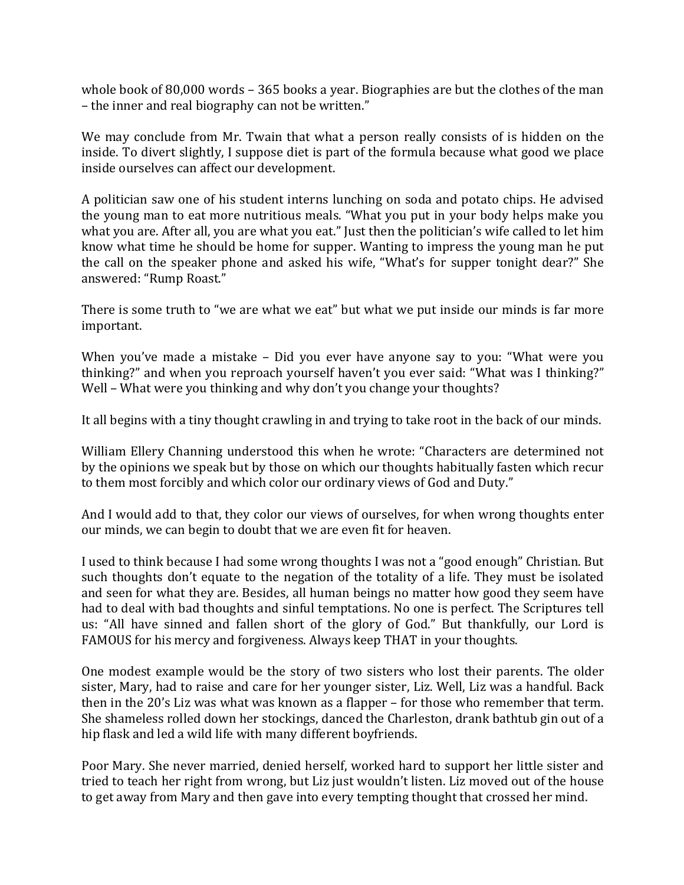whole book of 80,000 words  $-$  365 books a year. Biographies are but the clothes of the man – the inner and real biography can not be written."

We may conclude from Mr. Twain that what a person really consists of is hidden on the inside. To divert slightly, I suppose diet is part of the formula because what good we place inside ourselves can affect our development.

A politician saw one of his student interns lunching on soda and potato chips. He advised the young man to eat more nutritious meals. "What you put in your body helps make you what you are. After all, you are what you eat." Just then the politician's wife called to let him know what time he should be home for supper. Wanting to impress the young man he put the call on the speaker phone and asked his wife, "What's for supper tonight dear?" She answered: "Rump Roast."

There is some truth to "we are what we eat" but what we put inside our minds is far more important. 

When you've made a mistake - Did you ever have anyone say to you: "What were you thinking?" and when you reproach yourself haven't you ever said: "What was I thinking?" Well – What were you thinking and why don't you change your thoughts?

It all begins with a tiny thought crawling in and trying to take root in the back of our minds.

William Ellery Channing understood this when he wrote: "Characters are determined not by the opinions we speak but by those on which our thoughts habitually fasten which recur to them most forcibly and which color our ordinary views of God and Duty."

And I would add to that, they color our views of ourselves, for when wrong thoughts enter our minds, we can begin to doubt that we are even fit for heaven.

I used to think because I had some wrong thoughts I was not a "good enough" Christian. But such thoughts don't equate to the negation of the totality of a life. They must be isolated and seen for what they are. Besides, all human beings no matter how good they seem have had to deal with bad thoughts and sinful temptations. No one is perfect. The Scriptures tell us: "All have sinned and fallen short of the glory of God." But thankfully, our Lord is FAMOUS for his mercy and forgiveness. Always keep THAT in your thoughts.

One modest example would be the story of two sisters who lost their parents. The older sister, Mary, had to raise and care for her younger sister, Liz. Well, Liz was a handful. Back then in the  $20$ 's Liz was what was known as a flapper – for those who remember that term. She shameless rolled down her stockings, danced the Charleston, drank bathtub gin out of a hip flask and led a wild life with many different boyfriends.

Poor Mary. She never married, denied herself, worked hard to support her little sister and tried to teach her right from wrong, but Liz just wouldn't listen. Liz moved out of the house to get away from Mary and then gave into every tempting thought that crossed her mind.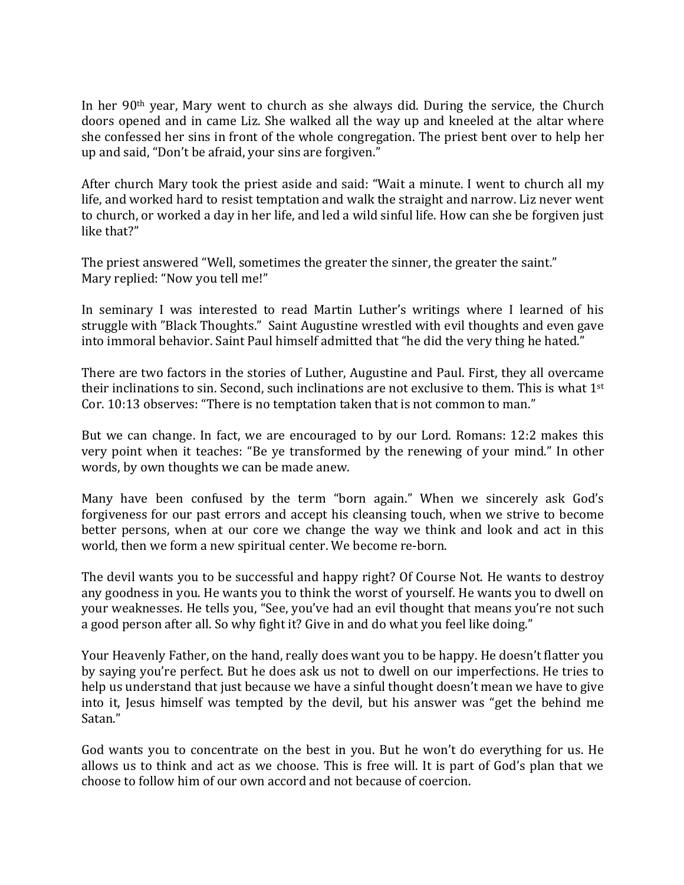In her  $90<sup>th</sup>$  year, Mary went to church as she always did. During the service, the Church doors opened and in came Liz. She walked all the way up and kneeled at the altar where she confessed her sins in front of the whole congregation. The priest bent over to help her up and said, "Don't be afraid, your sins are forgiven."

After church Mary took the priest aside and said: "Wait a minute. I went to church all my life, and worked hard to resist temptation and walk the straight and narrow. Liz never went to church, or worked a day in her life, and led a wild sinful life. How can she be forgiven just like that?"

The priest answered "Well, sometimes the greater the sinner, the greater the saint." Mary replied: "Now you tell me!"

In seminary I was interested to read Martin Luther's writings where I learned of his struggle with "Black Thoughts." Saint Augustine wrestled with evil thoughts and even gave into immoral behavior. Saint Paul himself admitted that "he did the very thing he hated."

There are two factors in the stories of Luther, Augustine and Paul. First, they all overcame their inclinations to sin. Second, such inclinations are not exclusive to them. This is what  $1<sup>st</sup>$ Cor. 10:13 observes: "There is no temptation taken that is not common to man."

But we can change. In fact, we are encouraged to by our Lord. Romans: 12:2 makes this very point when it teaches: "Be ye transformed by the renewing of your mind." In other words, by own thoughts we can be made anew.

Many have been confused by the term "born again." When we sincerely ask God's forgiveness for our past errors and accept his cleansing touch, when we strive to become better persons, when at our core we change the way we think and look and act in this world, then we form a new spiritual center. We become re-born.

The devil wants you to be successful and happy right? Of Course Not. He wants to destroy any goodness in you. He wants you to think the worst of yourself. He wants you to dwell on your weaknesses. He tells you, "See, you've had an evil thought that means you're not such a good person after all. So why fight it? Give in and do what you feel like doing."

Your Heavenly Father, on the hand, really does want you to be happy. He doesn't flatter you by saying you're perfect. But he does ask us not to dwell on our imperfections. He tries to help us understand that just because we have a sinful thought doesn't mean we have to give into it, Jesus himself was tempted by the devil, but his answer was "get the behind me Satan."

God wants you to concentrate on the best in you. But he won't do everything for us. He allows us to think and act as we choose. This is free will. It is part of God's plan that we choose to follow him of our own accord and not because of coercion.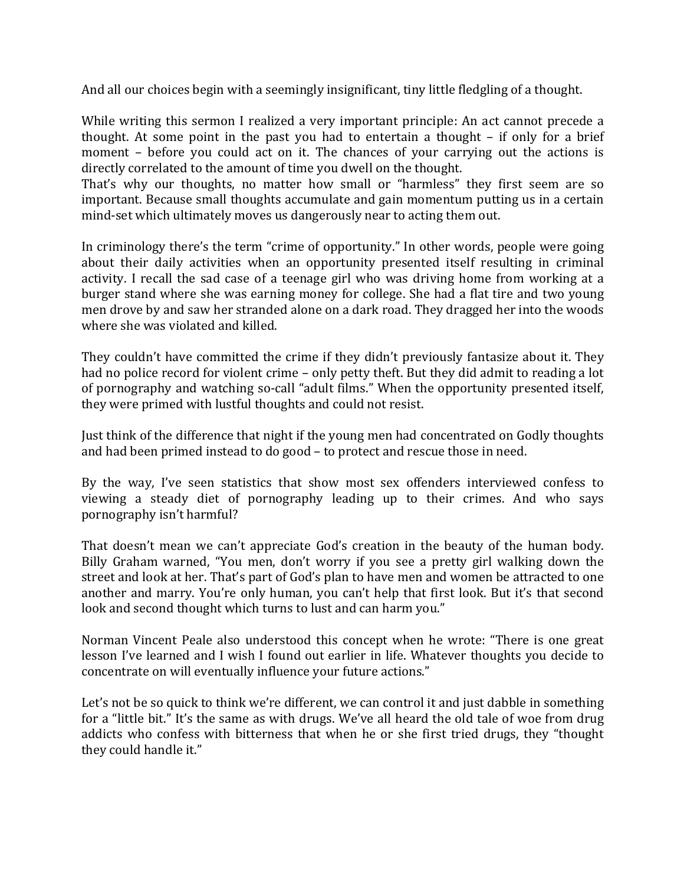And all our choices begin with a seemingly insignificant, tiny little fledgling of a thought.

While writing this sermon I realized a very important principle: An act cannot precede a thought. At some point in the past you had to entertain a thought  $-$  if only for a brief moment – before you could act on it. The chances of your carrying out the actions is directly correlated to the amount of time you dwell on the thought.

That's why our thoughts, no matter how small or "harmless" they first seem are so important. Because small thoughts accumulate and gain momentum putting us in a certain mind-set which ultimately moves us dangerously near to acting them out.

In criminology there's the term "crime of opportunity." In other words, people were going about their daily activities when an opportunity presented itself resulting in criminal activity. I recall the sad case of a teenage girl who was driving home from working at a burger stand where she was earning money for college. She had a flat tire and two young men drove by and saw her stranded alone on a dark road. They dragged her into the woods where she was violated and killed.

They couldn't have committed the crime if they didn't previously fantasize about it. They had no police record for violent crime – only petty theft. But they did admit to reading a lot of pornography and watching so-call "adult films." When the opportunity presented itself, they were primed with lustful thoughts and could not resist.

Just think of the difference that night if the young men had concentrated on Godly thoughts and had been primed instead to do good – to protect and rescue those in need.

By the way, I've seen statistics that show most sex offenders interviewed confess to viewing a steady diet of pornography leading up to their crimes. And who says pornography isn't harmful?

That doesn't mean we can't appreciate God's creation in the beauty of the human body. Billy Graham warned, "You men, don't worry if you see a pretty girl walking down the street and look at her. That's part of God's plan to have men and women be attracted to one another and marry. You're only human, you can't help that first look. But it's that second look and second thought which turns to lust and can harm you."

Norman Vincent Peale also understood this concept when he wrote: "There is one great lesson I've learned and I wish I found out earlier in life. Whatever thoughts you decide to concentrate on will eventually influence your future actions."

Let's not be so quick to think we're different, we can control it and just dabble in something for a "little bit." It's the same as with drugs. We've all heard the old tale of woe from drug addicts who confess with bitterness that when he or she first tried drugs, they "thought they could handle it."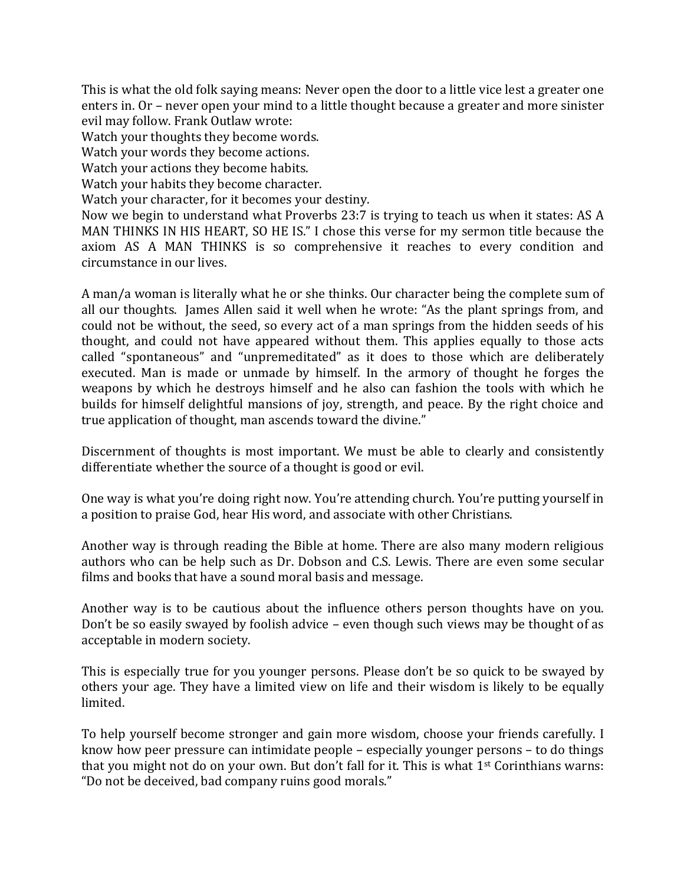This is what the old folk saying means: Never open the door to a little vice lest a greater one enters in. Or – never open your mind to a little thought because a greater and more sinister evil may follow. Frank Outlaw wrote:

Watch your thoughts they become words.

Watch your words they become actions.

Watch your actions they become habits.

Watch your habits they become character.

Watch your character, for it becomes your destiny.

Now we begin to understand what Proverbs 23:7 is trying to teach us when it states: AS A MAN THINKS IN HIS HEART, SO HE IS." I chose this verse for my sermon title because the axiom AS A MAN THINKS is so comprehensive it reaches to every condition and circumstance in our lives.

A man/a woman is literally what he or she thinks. Our character being the complete sum of all our thoughts. James Allen said it well when he wrote: "As the plant springs from, and could not be without, the seed, so every act of a man springs from the hidden seeds of his thought, and could not have appeared without them. This applies equally to those acts called "spontaneous" and "unpremeditated" as it does to those which are deliberately executed. Man is made or unmade by himself. In the armory of thought he forges the weapons by which he destroys himself and he also can fashion the tools with which he builds for himself delightful mansions of joy, strength, and peace. By the right choice and true application of thought, man ascends toward the divine."

Discernment of thoughts is most important. We must be able to clearly and consistently differentiate whether the source of a thought is good or evil.

One way is what you're doing right now. You're attending church. You're putting yourself in a position to praise God, hear His word, and associate with other Christians.

Another way is through reading the Bible at home. There are also many modern religious authors who can be help such as Dr. Dobson and C.S. Lewis. There are even some secular films and books that have a sound moral basis and message.

Another way is to be cautious about the influence others person thoughts have on you. Don't be so easily swayed by foolish advice – even though such views may be thought of as acceptable in modern society.

This is especially true for you younger persons. Please don't be so quick to be swayed by others your age. They have a limited view on life and their wisdom is likely to be equally limited.

To help yourself become stronger and gain more wisdom, choose your friends carefully. I know how peer pressure can intimidate people  $-$  especially younger persons  $-$  to do things that you might not do on your own. But don't fall for it. This is what  $1^{st}$  Corinthians warns: "Do not be deceived, bad company ruins good morals."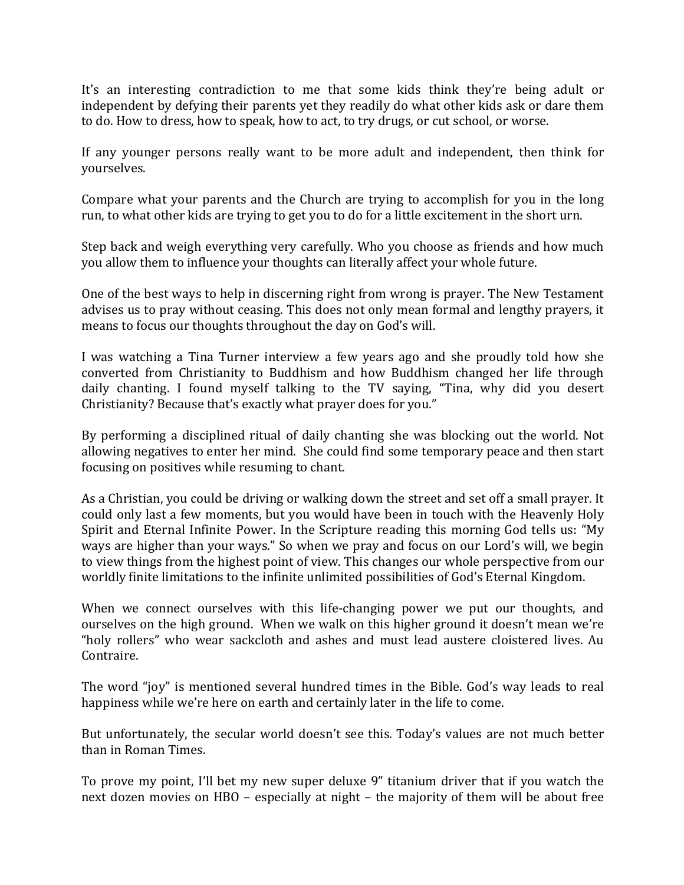It's an interesting contradiction to me that some kids think they're being adult or independent by defying their parents yet they readily do what other kids ask or dare them to do. How to dress, how to speak, how to act, to try drugs, or cut school, or worse.

If any younger persons really want to be more adult and independent, then think for yourselves.

Compare what your parents and the Church are trying to accomplish for you in the long run, to what other kids are trying to get you to do for a little excitement in the short urn.

Step back and weigh everything very carefully. Who you choose as friends and how much you allow them to influence your thoughts can literally affect your whole future.

One of the best ways to help in discerning right from wrong is prayer. The New Testament advises us to pray without ceasing. This does not only mean formal and lengthy prayers, it means to focus our thoughts throughout the day on God's will.

I was watching a Tina Turner interview a few years ago and she proudly told how she converted from Christianity to Buddhism and how Buddhism changed her life through daily chanting. I found myself talking to the TV saying, "Tina, why did you desert Christianity? Because that's exactly what prayer does for you."

By performing a disciplined ritual of daily chanting she was blocking out the world. Not allowing negatives to enter her mind. She could find some temporary peace and then start focusing on positives while resuming to chant.

As a Christian, you could be driving or walking down the street and set off a small prayer. It could only last a few moments, but you would have been in touch with the Heavenly Holy Spirit and Eternal Infinite Power. In the Scripture reading this morning God tells us: "My ways are higher than your ways." So when we pray and focus on our Lord's will, we begin to view things from the highest point of view. This changes our whole perspective from our worldly finite limitations to the infinite unlimited possibilities of God's Eternal Kingdom.

When we connect ourselves with this life-changing power we put our thoughts, and ourselves on the high ground. When we walk on this higher ground it doesn't mean we're "holy rollers" who wear sackcloth and ashes and must lead austere cloistered lives. Au Contraire.

The word "joy" is mentioned several hundred times in the Bible. God's way leads to real happiness while we're here on earth and certainly later in the life to come.

But unfortunately, the secular world doesn't see this. Today's values are not much better than in Roman Times.

To prove my point, I'll bet my new super deluxe 9" titanium driver that if you watch the next dozen movies on HBO – especially at night – the majority of them will be about free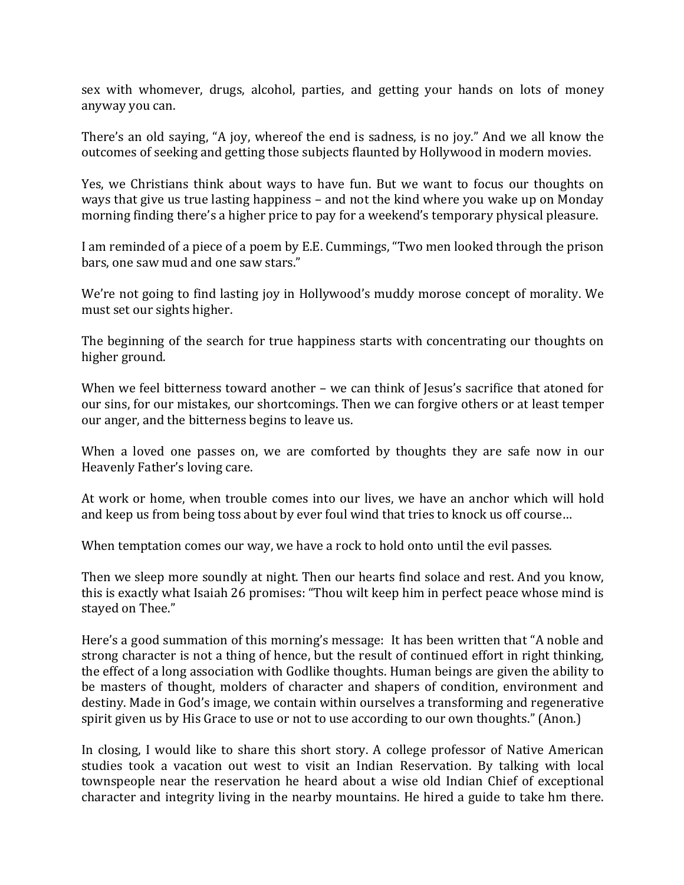sex with whomever, drugs, alcohol, parties, and getting your hands on lots of money anyway you can.

There's an old saying, "A joy, whereof the end is sadness, is no joy." And we all know the outcomes of seeking and getting those subjects flaunted by Hollywood in modern movies.

Yes, we Christians think about ways to have fun. But we want to focus our thoughts on ways that give us true lasting happiness – and not the kind where you wake up on Monday morning finding there's a higher price to pay for a weekend's temporary physical pleasure.

I am reminded of a piece of a poem by E.E. Cummings, "Two men looked through the prison bars, one saw mud and one saw stars."

We're not going to find lasting joy in Hollywood's muddy morose concept of morality. We must set our sights higher.

The beginning of the search for true happiness starts with concentrating our thoughts on higher ground.

When we feel bitterness toward another – we can think of Jesus's sacrifice that atoned for our sins, for our mistakes, our shortcomings. Then we can forgive others or at least temper our anger, and the bitterness begins to leave us.

When a loved one passes on, we are comforted by thoughts they are safe now in our Heavenly Father's loving care.

At work or home, when trouble comes into our lives, we have an anchor which will hold and keep us from being toss about by ever foul wind that tries to knock us off course...

When temptation comes our way, we have a rock to hold onto until the evil passes.

Then we sleep more soundly at night. Then our hearts find solace and rest. And you know, this is exactly what Isaiah 26 promises: "Thou wilt keep him in perfect peace whose mind is stayed on Thee."

Here's a good summation of this morning's message: It has been written that "A noble and strong character is not a thing of hence, but the result of continued effort in right thinking, the effect of a long association with Godlike thoughts. Human beings are given the ability to be masters of thought, molders of character and shapers of condition, environment and destiny. Made in God's image, we contain within ourselves a transforming and regenerative spirit given us by His Grace to use or not to use according to our own thoughts." (Anon.)

In closing, I would like to share this short story. A college professor of Native American studies took a vacation out west to visit an Indian Reservation. By talking with local townspeople near the reservation he heard about a wise old Indian Chief of exceptional character and integrity living in the nearby mountains. He hired a guide to take hm there.